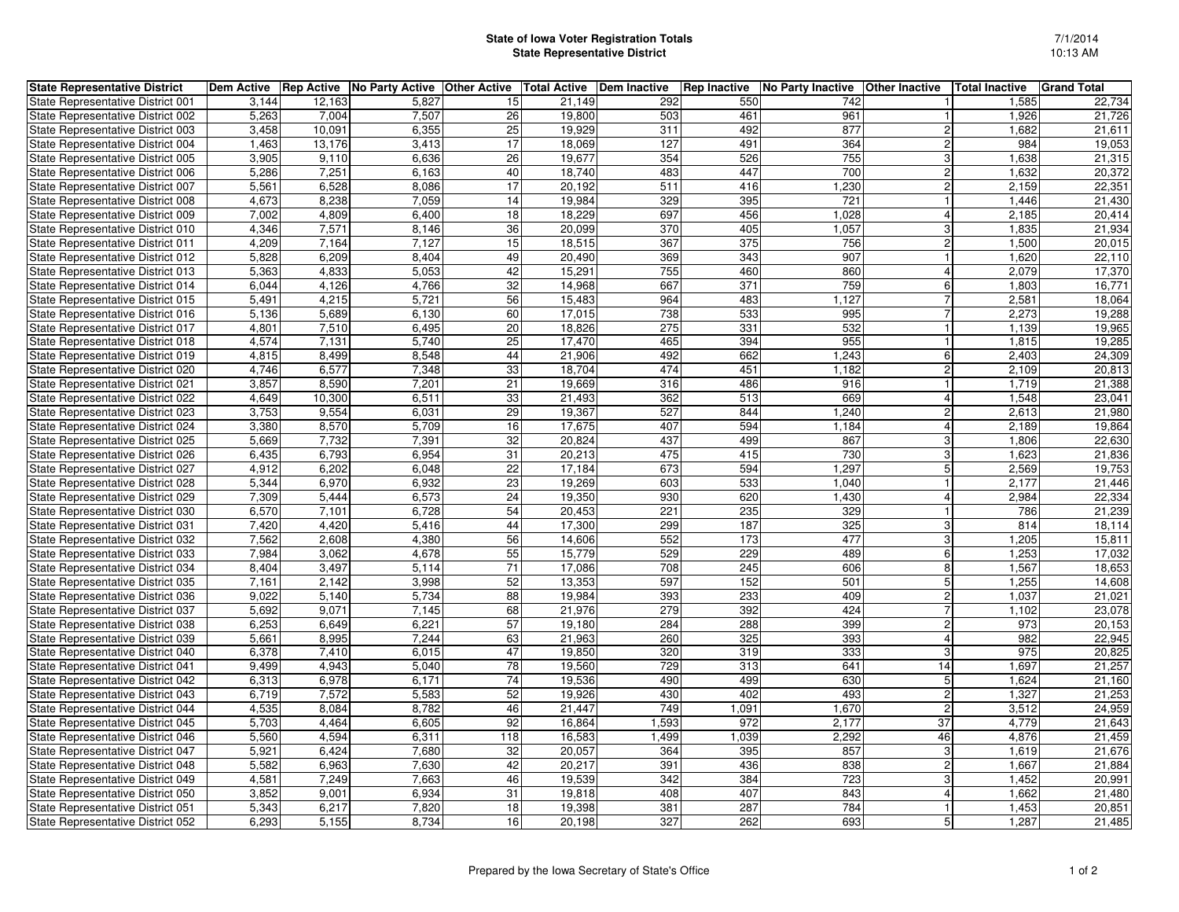## **State of Iowa Voter Registration TotalsState Representative District**

| <b>State Representative District</b> | Dem Active |        | <b>Rep Active No Party Active Other Active</b> |                 | <b>Total Active</b> | Dem Inactive | <b>Rep Inactive</b> | No Party Inactive | <b>Other Inactive</b> | Total Inactive | <b>Grand Total</b> |
|--------------------------------------|------------|--------|------------------------------------------------|-----------------|---------------------|--------------|---------------------|-------------------|-----------------------|----------------|--------------------|
| State Representative District 001    | 3.144      | 12,163 | 5,827                                          | 15              | 21,149              | 292          | 550                 | 742               |                       | 1,585          | 22,734             |
| State Representative District 002    | 5,263      | 7,004  | 7,507                                          | 26              | 19,800              | 503          | 461                 | 961               |                       | 1,926          | 21,726             |
| State Representative District 003    | 3,458      | 10,091 | 6,355                                          | 25              | 19,929              | 311          | 492                 | 877               | $\overline{c}$        | 1,682          | 21,611             |
| State Representative District 004    | 1,463      | 13,176 | 3,413                                          | 17              | 18,069              | 127          | 491                 | 364               | $\overline{2}$        | 984            | 19,053             |
| State Representative District 005    | 3,905      | 9,110  | 6,636                                          | 26              | 19,677              | 354          | 526                 | 755               | 3                     | 1,638          | 21,315             |
| State Representative District 006    | 5,286      | 7,251  | 6,163                                          | 40              | 18,740              | 483          | 447                 | 700               | $\overline{c}$        | 1,632          | 20,372             |
| State Representative District 007    | 5,561      | 6,528  | 8,086                                          | 17              | 20,192              | 511          | 416                 | 1,230             | $\overline{2}$        | 2,159          | 22,351             |
| State Representative District 008    | 4.673      | 8,238  | 7.059                                          | 14              | 19.984              | 329          | 395                 | 721               | $\mathbf{1}$          | 1.446          | 21,430             |
| State Representative District 009    | 7,002      | 4,809  | 6,400                                          | 18              | 18,229              | 697          | 456                 | 1,028             | $\overline{4}$        | 2,185          | 20,414             |
| State Representative District 010    | 4,346      | 7,571  | 8,146                                          | 36              | 20,099              | 370          | 405                 | 1,057             | 3                     | 1,835          | 21,934             |
| State Representative District 011    | 4,209      | 7,164  | 7,127                                          | 15              | 18,515              | 367          | 375                 | 756               | 2                     | 1,500          | 20,015             |
| State Representative District 012    | 5,828      | 6,209  | 8.404                                          | 49              | 20,490              | 369          | 343                 | 907               |                       | 1,620          | 22,110             |
| State Representative District 013    | 5,363      | 4,833  | 5,053                                          | 42              | 15,291              | 755          | 460                 | 860               | $\overline{4}$        | 2,079          | 17,370             |
| State Representative District 014    | 6,044      | 4,126  | 4,766                                          | 32              | 14,968              | 667          | 371                 | 759               | 6                     | 1,803          | 16,771             |
| State Representative District 015    | 5,491      | 4,215  | 5.721                                          | 56              | 15.483              | 964          | 483                 | 1,127             | 7                     | 2,581          | 18,064             |
| State Representative District 016    | 5,136      | 5,689  | 6,130                                          | 60              | 17,015              | 738          | 533                 | 995               | $\overline{7}$        | 2,273          | 19,288             |
| State Representative District 017    | 4,801      | 7,510  | 6,495                                          | 20              | 18,826              | 275          | 331                 | 532               |                       | 1,139          | 19,965             |
| State Representative District 018    | 4,574      | 7,131  | 5,740                                          | 25              | 17,470              | 465          | 394                 | 955               |                       | 1,815          | 19,285             |
| State Representative District 019    | 4,815      | 8,499  | 8,548                                          | 44              | 21,906              | 492          | 662                 | 1,243             | 6                     | 2,403          | 24,309             |
| State Representative District 020    | 4.746      | 6,577  | 7,348                                          | 33              | 18.704              | 474          | 451                 | 1,182             | $\overline{c}$        | 2.109          | 20,813             |
| State Representative District 021    | 3,857      | 8,590  | 7,201                                          | 21              | 19,669              | 316          | 486                 | 916               |                       | 1,719          | 21,388             |
| State Representative District 022    | 4,649      | 10,300 | 6,511                                          | 33              | 21.493              | 362          | 513                 | 669               | $\overline{4}$        | 1.548          | 23.041             |
| State Representative District 023    | 3,753      | 9,554  | 6,031                                          | 29              | 19,367              | 527          | 844                 | 1,240             | $\overline{2}$        | 2,613          | 21,980             |
| State Representative District 024    | 3,380      | 8,570  | 5,709                                          | 16              | 17,675              | 407          | 594                 | 1,184             | $\overline{4}$        | 2,189          | 19,864             |
| State Representative District 025    | 5,669      | 7,732  | 7,391                                          | 32              | 20,824              | 437          | 499                 | 867               | 3                     | 1,806          | 22,630             |
| State Representative District 026    | 6,435      | 6,793  | 6,954                                          | 31              | 20,213              | 475          | 415                 | 730               | 3                     | 1,623          | 21,836             |
| State Representative District 027    | 4,912      | 6,202  | 6,048                                          | 22              | 17,184              | 673          | 594                 | 1,297             | 5                     | 2,569          | 19,753             |
| State Representative District 028    | 5,344      | 6,970  | 6,932                                          | 23              | 19,269              | 603          | 533                 | 1,040             |                       | 2,177          | 21,446             |
| State Representative District 029    | 7,309      | 5,444  | 6,573                                          | 24              | 19,350              | 930          | 620                 | 1,430             | $\overline{4}$        | 2,984          | 22,334             |
| State Representative District 030    | 6,570      | 7,101  | 6,728                                          | 54              | 20,453              | 221          | 235                 | 329               | $\mathbf{1}$          | 786            | 21,239             |
| State Representative District 031    | 7,420      | 4,420  | 5,416                                          | 44              | 17,300              | 299          | 187                 | 325               | 3                     | 814            | 18,114             |
| State Representative District 032    | 7,562      | 2,608  | 4,380                                          | 56              | 14,606              | 552          | 173                 | 477               | 3                     | 1,205          | 15,811             |
| State Representative District 033    | 7.984      | 3,062  | 4,678                                          | 55              | 15,779              | 529          | 229                 | 489               | 6                     | 1,253          | 17,032             |
| State Representative District 034    | 8.404      | 3,497  | 5,114                                          | 71              | 17,086              | 708          | 245                 | 606               | 8                     | 1,567          | 18,653             |
| State Representative District 035    | 7,161      | 2,142  | 3,998                                          | 52              | 13,353              | 597          | 152                 | 501               | 5                     | 1,255          | 14,608             |
| State Representative District 036    | 9,022      | 5,140  | 5,734                                          | 88              | 19,984              | 393          | 233                 | 409               | $\overline{2}$        | 1,037          | 21,021             |
| State Representative District 037    | 5.692      | 9,071  | 7,145                                          | 68              | 21,976              | 279          | 392                 | 424               | $\overline{7}$        | 1,102          | 23,078             |
| State Representative District 038    | 6,253      | 6,649  | 6,221                                          | 57              | 19,180              | 284          | 288                 | 399               | $\overline{2}$        | 973            | 20,153             |
| State Representative District 039    | 5,661      | 8,995  | 7,244                                          | 63              | 21,963              | 260          | 325                 | 393               | 4                     | 982            | 22,945             |
| State Representative District 040    | 6,378      | 7,410  | 6,015                                          | 47              | 19,850              | 320          | 319                 | 333               | 3                     | 975            | 20,825             |
| State Representative District 041    | 9,499      | 4,943  | 5,040                                          | 78              | 19,560              | 729          | 313                 | 641               | 14                    | 1,697          | 21,257             |
| State Representative District 042    | 6,313      | 6,978  | 6,171                                          | 74              | 19,536              | 490          | 499                 | 630               | $5\phantom{.0}$       | 1,624          | 21,160             |
| State Representative District 043    | 6,719      | 7,572  | 5,583                                          | 52              | 19,926              | 430          | 402                 | 493               | $\overline{2}$        | 1,327          | 21,253             |
| State Representative District 044    | 4,535      | 8,084  | 8.782                                          | 46              | 21,447              | 749          | 1,091               | 1,670             | $\overline{2}$        | 3,512          | 24,959             |
| State Representative District 045    | 5,703      | 4,464  | 6,605                                          | $\overline{92}$ | 16,864              | 1,593        | 972                 | 2,177             | $\overline{37}$       | 4,779          | 21,643             |
| State Representative District 046    | 5,560      | 4,594  | 6,311                                          | 118             | 16,583              | 1,499        | 1,039               | 2,292             | 46                    | 4,876          | 21,459             |
| State Representative District 047    | 5,921      | 6,424  | 7,680                                          | 32              | 20,057              | 364          | 395                 | 857               | 3                     | 1,619          | 21,676             |
| State Representative District 048    | 5,582      | 6,963  | 7,630                                          | 42              | 20,217              | 391          | 436                 | 838               | $\overline{2}$        | 1,667          | 21,884             |
| State Representative District 049    | 4,581      | 7,249  | 7,663                                          | 46              | 19,539              | 342          | 384                 | 723               | 3                     | 1,452          | 20,991             |
| State Representative District 050    | 3,852      | 9,001  | 6,934                                          | 31              | 19,818              | 408          | 407                 | 843               | $\overline{4}$        | 1,662          | 21,480             |
| State Representative District 051    | 5,343      | 6,217  | 7,820                                          | 18              | 19,398              | 381          | 287                 | 784               |                       | 1,453          | 20,851             |
| State Representative District 052    | 6,293      | 5,155  | 8,734                                          | 16              | 20,198              | 327          | 262                 | 693               | 5                     | 1,287          | 21,485             |